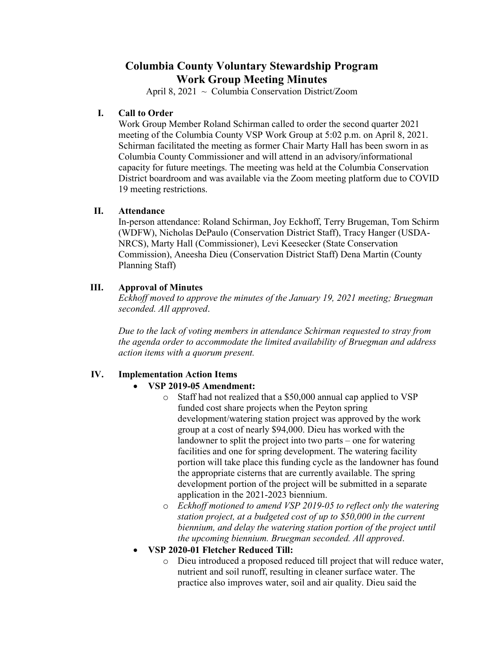# **Columbia County Voluntary Stewardship Program Work Group Meeting Minutes**

April 8, 2021 ~ Columbia Conservation District/Zoom

#### **I. Call to Order**

Work Group Member Roland Schirman called to order the second quarter 2021 meeting of the Columbia County VSP Work Group at 5:02 p.m. on April 8, 2021. Schirman facilitated the meeting as former Chair Marty Hall has been sworn in as Columbia County Commissioner and will attend in an advisory/informational capacity for future meetings. The meeting was held at the Columbia Conservation District boardroom and was available via the Zoom meeting platform due to COVID 19 meeting restrictions.

#### **II. Attendance**

In-person attendance: Roland Schirman, Joy Eckhoff, Terry Brugeman, Tom Schirm (WDFW), Nicholas DePaulo (Conservation District Staff), Tracy Hanger (USDA-NRCS), Marty Hall (Commissioner), Levi Keesecker (State Conservation Commission), Aneesha Dieu (Conservation District Staff) Dena Martin (County Planning Staff)

## **III. Approval of Minutes**

*Eckhoff moved to approve the minutes of the January 19, 2021 meeting; Bruegman seconded. All approved*.

*Due to the lack of voting members in attendance Schirman requested to stray from the agenda order to accommodate the limited availability of Bruegman and address action items with a quorum present.* 

# **IV. Implementation Action Items**

#### • **VSP 2019-05 Amendment:**

- o Staff had not realized that a \$50,000 annual cap applied to VSP funded cost share projects when the Peyton spring development/watering station project was approved by the work group at a cost of nearly \$94,000. Dieu has worked with the landowner to split the project into two parts – one for watering facilities and one for spring development. The watering facility portion will take place this funding cycle as the landowner has found the appropriate cisterns that are currently available. The spring development portion of the project will be submitted in a separate application in the 2021-2023 biennium.
- o *Eckhoff motioned to amend VSP 2019-05 to reflect only the watering station project, at a budgeted cost of up to \$50,000 in the current biennium, and delay the watering station portion of the project until the upcoming biennium. Bruegman seconded. All approved*.
- **VSP 2020-01 Fletcher Reduced Till:**
	- o Dieu introduced a proposed reduced till project that will reduce water, nutrient and soil runoff, resulting in cleaner surface water. The practice also improves water, soil and air quality. Dieu said the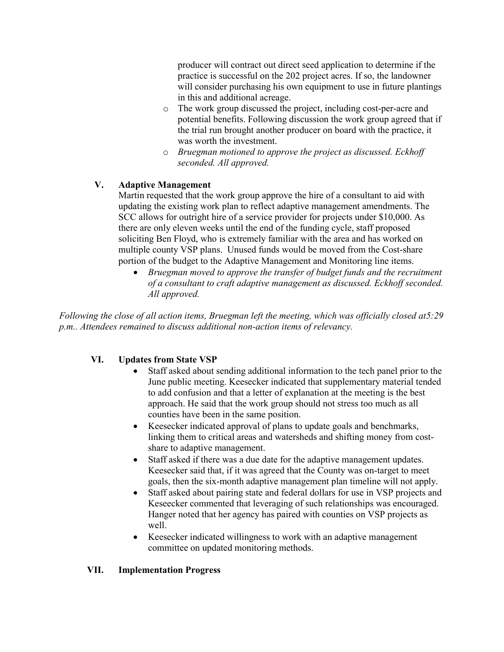producer will contract out direct seed application to determine if the practice is successful on the 202 project acres. If so, the landowner will consider purchasing his own equipment to use in future plantings in this and additional acreage.

- o The work group discussed the project, including cost-per-acre and potential benefits. Following discussion the work group agreed that if the trial run brought another producer on board with the practice, it was worth the investment.
- o *Bruegman motioned to approve the project as discussed. Eckhoff seconded. All approved.*

## **V. Adaptive Management**

Martin requested that the work group approve the hire of a consultant to aid with updating the existing work plan to reflect adaptive management amendments. The SCC allows for outright hire of a service provider for projects under \$10,000. As there are only eleven weeks until the end of the funding cycle, staff proposed soliciting Ben Floyd, who is extremely familiar with the area and has worked on multiple county VSP plans. Unused funds would be moved from the Cost-share portion of the budget to the Adaptive Management and Monitoring line items.

• *Bruegman moved to approve the transfer of budget funds and the recruitment of a consultant to craft adaptive management as discussed. Eckhoff seconded. All approved.*

*Following the close of all action items, Bruegman left the meeting, which was officially closed at5:29 p.m.. Attendees remained to discuss additional non-action items of relevancy.*

#### **VI. Updates from State VSP**

- Staff asked about sending additional information to the tech panel prior to the June public meeting. Keesecker indicated that supplementary material tended to add confusion and that a letter of explanation at the meeting is the best approach. He said that the work group should not stress too much as all counties have been in the same position.
- Keesecker indicated approval of plans to update goals and benchmarks, linking them to critical areas and watersheds and shifting money from costshare to adaptive management.
- Staff asked if there was a due date for the adaptive management updates. Keesecker said that, if it was agreed that the County was on-target to meet goals, then the six-month adaptive management plan timeline will not apply.
- Staff asked about pairing state and federal dollars for use in VSP projects and Keseecker commented that leveraging of such relationships was encouraged. Hanger noted that her agency has paired with counties on VSP projects as well.
- Keesecker indicated willingness to work with an adaptive management committee on updated monitoring methods.

#### **VII. Implementation Progress**